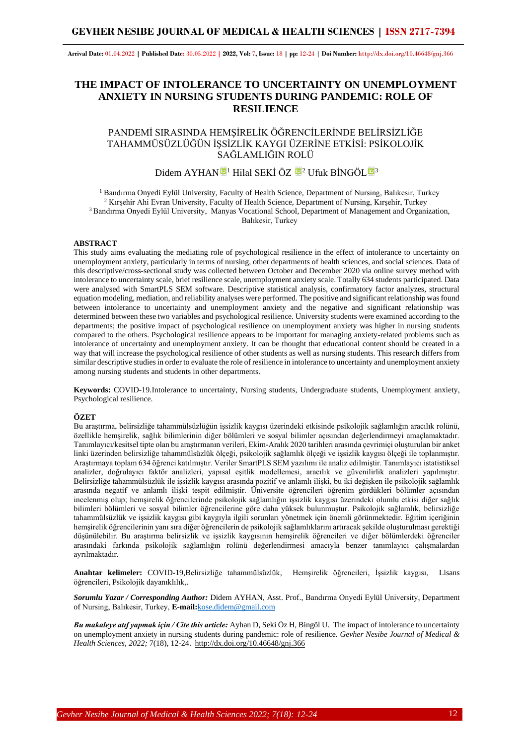# **GEVHER NESIBE JOURNAL OF MEDICAL & HEALTH SCIENCES | ISSN 2717-7394**

**Arrival Date:** 01.04.2022 **| Published Date:** 30.05.2022 **| 2022, Vol:** 7**, Issue:** 18 **| pp:** 12-24 **| Doi Number:** http://dx.doi.org/10.46648/gnj.366

# **THE IMPACT OF INTOLERANCE TO UNCERTAINTY ON UNEMPLOYMENT ANXIETY IN NURSING STUDENTS DURING PANDEMIC: ROLE OF RESILIENCE**

# PANDEMİ SIRASINDA HEMŞİRELİK ÖĞRENCİLERİNDE BELİRSİZLİĞE TAHAMMÜSÜZLÜĞÜN İŞSİZLİK KAYGI ÜZERİNE ETKİSİ: PSİKOLOJİK SAĞLAMLIĞIN ROLÜ

# Didem AYHAN <sup>1</sup> Hilal SEKİ ÖZ <sup>1</sup> Ufuk BİNGÖL <sup>5</sup><sup>3</sup>

<sup>1</sup> Bandırma Onyedi Eylül University, Faculty of Health Science, Department of Nursing, Balıkesir, Turkey <sup>2</sup> Kırşehir Ahi Evran University, Faculty of Health Science, Department of Nursing, Kırşehir, Turkey <sup>3</sup> Bandırma Onyedi Eylül University, Manyas Vocational School, Department of Management and Organization, Balıkesir, Turkey

#### **ABSTRACT**

This study aims evaluating the mediating role of psychological resilience in the effect of intolerance to uncertainty on unemployment anxiety, particularly in terms of nursing, other departments of health sciences, and social sciences. Data of this descriptive/cross-sectional study was collected between October and December 2020 via online survey method with intolerance to uncertainty scale, brief resilience scale, unemployment anxiety scale. Totally 634 students participated. Data were analysed with SmartPLS SEM software. Descriptive statistical analysis, confirmatory factor analyzes, structural equation modeling, mediation, and reliability analyses were performed. The positive and significant relationship was found between intolerance to uncertainty and unemployment anxiety and the negative and significant relationship was determined between these two variables and psychological resilience. University students were examined according to the departments; the positive impact of psychological resilience on unemployment anxiety was higher in nursing students compared to the others. Psychological resilience appears to be important for managing anxiety-related problems such as intolerance of uncertainty and unemployment anxiety. It can be thought that educational content should be created in a way that will increase the psychological resilience of other students as well as nursing students. This research differs from similar descriptive studies in order to evaluate the role of resilience in intolerance to uncertainty and unemployment anxiety among nursing students and students in other departments.

**Keywords:** COVID-19.Intolerance to uncertainty, Nursing students, Undergraduate students, Unemployment anxiety, Psychological resilience.

#### **ÖZET**

Bu araştırma, belirsizliğe tahammülsüzlüğün işsizlik kaygısı üzerindeki etkisinde psikolojik sağlamlığın aracılık rolünü, özellikle hemşirelik, sağlık bilimlerinin diğer bölümleri ve sosyal bilimler açısından değerlendirmeyi amaçlamaktadır. Tanımlayıcı/kesitsel tipte olan bu araştırmanın verileri, Ekim-Aralık 2020 tarihleri arasında çevrimiçi oluşturulan bir anket linki üzerinden belirsizliğe tahammülsüzlük ölçeği, psikolojik sağlamlık ölçeği ve işsizlik kaygısı ölçeği ile toplanmıştır. Araştırmaya toplam 634 öğrenci katılmıştır. Veriler SmartPLS SEM yazılımı ile analiz edilmiştir. Tanımlayıcı istatistiksel analizler, doğrulayıcı faktör analizleri, yapısal eşitlik modellemesi, aracılık ve güvenilirlik analizleri yapılmıştır. Belirsizliğe tahammülsüzlük ile işsizlik kaygısı arasında pozitif ve anlamlı ilişki, bu iki değişken ile psikolojik sağlamlık arasında negatif ve anlamlı ilişki tespit edilmiştir. Üniversite öğrencileri öğrenim gördükleri bölümler açısından incelenmiş olup; hemşirelik öğrencilerinde psikolojik sağlamlığın işsizlik kaygısı üzerindeki olumlu etkisi diğer sağlık bilimleri bölümleri ve sosyal bilimler öğrencilerine göre daha yüksek bulunmuştur. Psikolojik sağlamlık, belirsizliğe tahammülsüzlük ve işsizlik kaygısı gibi kaygıyla ilgili sorunları yönetmek için önemli görünmektedir. Eğitim içeriğinin hemşirelik öğrencilerinin yanı sıra diğer öğrencilerin de psikolojik sağlamlıklarını artıracak şekilde oluşturulması gerektiği düşünülebilir. Bu araştırma belirsizlik ve işsizlik kaygısının hemşirelik öğrencileri ve diğer bölümlerdeki öğrenciler arasındaki farkında psikolojik sağlamlığın rolünü değerlendirmesi amacıyla benzer tanımlayıcı çalışmalardan ayrılmaktadır.

**Anahtar kelimeler:** COVID-19,Belirsizliğe tahammülsüzlük, Hemşirelik öğrencileri, İşsizlik kaygısı, Lisans öğrencileri, Psikolojik dayanıklılık,.

*Sorumlu Yazar / Corresponding Author:* Didem AYHAN, Asst. Prof., Bandırma Onyedi Eylül University, Department of Nursing, Balıkesir, Turkey, **E-mail:**[kose.didem@gmail.com](mailto:kose.didem@gmail.com)

*Bu makaleye atıf yapmak için / Cite this article:* Ayhan D, Seki Öz H, Bingöl U. The impact of intolerance to uncertainty on unemployment anxiety in nursing students during pandemic: role of resilience. *Gevher Nesibe Journal of Medical & Health Sciences, 2022;* 7(18), 12-24. http://dx.doi.org/10.46648/gnj.366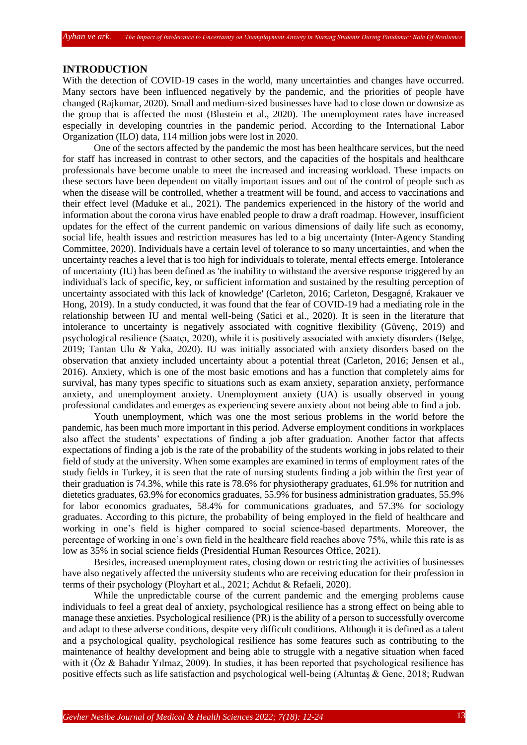## **INTRODUCTION**

With the detection of COVID-19 cases in the world, many uncertainties and changes have occurred. Many sectors have been influenced negatively by the pandemic, and the priorities of people have changed (Rajkumar, 2020). Small and medium-sized businesses have had to close down or downsize as the group that is affected the most (Blustein et al., 2020). The unemployment rates have increased especially in developing countries in the pandemic period. According to the International Labor Organization (ILO) data, 114 million jobs were lost in 2020.

One of the sectors affected by the pandemic the most has been healthcare services, but the need for staff has increased in contrast to other sectors, and the capacities of the hospitals and healthcare professionals have become unable to meet the increased and increasing workload. These impacts on these sectors have been dependent on vitally important issues and out of the control of people such as when the disease will be controlled, whether a treatment will be found, and access to vaccinations and their effect level (Maduke et al., 2021). The pandemics experienced in the history of the world and information about the corona virus have enabled people to draw a draft roadmap. However, insufficient updates for the effect of the current pandemic on various dimensions of daily life such as economy, social life, health issues and restriction measures has led to a big uncertainty (Inter-Agency Standing Committee, 2020). Individuals have a certain level of tolerance to so many uncertainties, and when the uncertainty reaches a level that is too high for individuals to tolerate, mental effects emerge. Intolerance of uncertainty (IU) has been defined as 'the inability to withstand the aversive response triggered by an individual's lack of specific, key, or sufficient information and sustained by the resulting perception of uncertainty associated with this lack of knowledge' (Carleton, 2016; Carleton, Desgagné, Krakauer ve Hong, 2019). In a study conducted, it was found that the fear of COVID-19 had a mediating role in the relationship between IU and mental well-being (Satici et al., 2020). It is seen in the literature that intolerance to uncertainty is negatively associated with cognitive flexibility (Güvenç, 2019) and psychological resilience (Saatçı, 2020), while it is positively associated with anxiety disorders (Belge, 2019; Tantan Ulu & Yaka, 2020). IU was initially associated with anxiety disorders based on the observation that anxiety included uncertainty about a potential threat (Carleton, 2016; Jensen et al., 2016). Anxiety, which is one of the most basic emotions and has a function that completely aims for survival, has many types specific to situations such as exam anxiety, separation anxiety, performance anxiety, and unemployment anxiety. Unemployment anxiety (UA) is usually observed in young professional candidates and emerges as experiencing severe anxiety about not being able to find a job.

Youth unemployment, which was one the most serious problems in the world before the pandemic, has been much more important in this period. Adverse employment conditions in workplaces also affect the students' expectations of finding a job after graduation. Another factor that affects expectations of finding a job is the rate of the probability of the students working in jobs related to their field of study at the university. When some examples are examined in terms of employment rates of the study fields in Turkey, it is seen that the rate of nursing students finding a job within the first year of their graduation is 74.3%, while this rate is 78.6% for physiotherapy graduates, 61.9% for nutrition and dietetics graduates, 63.9% for economics graduates, 55.9% for business administration graduates, 55.9% for labor economics graduates, 58.4% for communications graduates, and 57.3% for sociology graduates. According to this picture, the probability of being employed in the field of healthcare and working in one's field is higher compared to social science-based departments. Moreover, the percentage of working in one's own field in the healthcare field reaches above 75%, while this rate is as low as 35% in social science fields (Presidential Human Resources Office, 2021).

Besides, increased unemployment rates, closing down or restricting the activities of businesses have also negatively affected the university students who are receiving education for their profession in terms of their psychology (Ployhart et al., 2021; Achdut & Refaeli, 2020).

While the unpredictable course of the current pandemic and the emerging problems cause individuals to feel a great deal of anxiety, psychological resilience has a strong effect on being able to manage these anxieties. Psychological resilience (PR) is the ability of a person to successfully overcome and adapt to these adverse conditions, despite very difficult conditions. Although it is defined as a talent and a psychological quality, psychological resilience has some features such as contributing to the maintenance of healthy development and being able to struggle with a negative situation when faced with it (Öz & Bahadır Yılmaz, 2009). In studies, it has been reported that psychological resilience has positive effects such as life satisfaction and psychological well-being (Altuntaş & Genc, 2018; Rudwan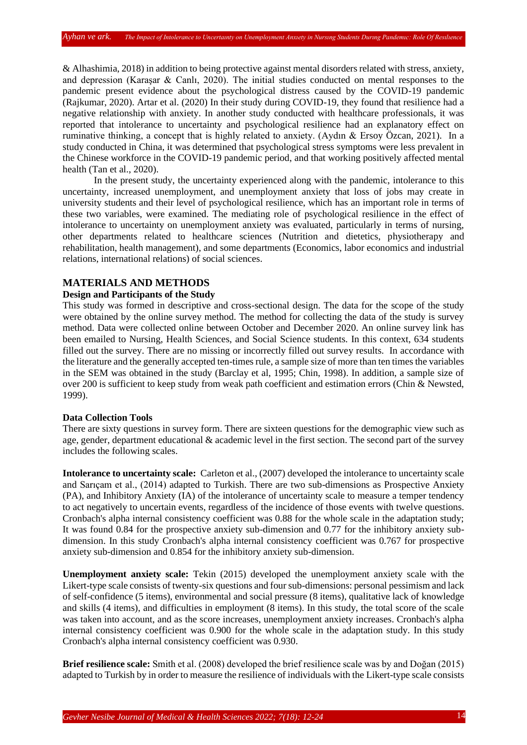& Alhashimia, 2018) in addition to being protective against mental disorders related with stress, anxiety, and depression (Karaşar & Canlı, 2020). The initial studies conducted on mental responses to the pandemic present evidence about the psychological distress caused by the COVID-19 pandemic (Rajkumar, 2020). Artar et al. (2020) In their study during COVID-19, they found that resilience had a negative relationship with anxiety. In another study conducted with healthcare professionals, it was reported that intolerance to uncertainty and psychological resilience had an explanatory effect on ruminative thinking, a concept that is highly related to anxiety. (Aydın & Ersoy Özcan, 2021). In a study conducted in China, it was determined that psychological stress symptoms were less prevalent in the Chinese workforce in the COVID-19 pandemic period, and that working positively affected mental health (Tan et al., 2020).

In the present study, the uncertainty experienced along with the pandemic, intolerance to this uncertainty, increased unemployment, and unemployment anxiety that loss of jobs may create in university students and their level of psychological resilience, which has an important role in terms of these two variables, were examined. The mediating role of psychological resilience in the effect of intolerance to uncertainty on unemployment anxiety was evaluated, particularly in terms of nursing, other departments related to healthcare sciences (Nutrition and dietetics, physiotherapy and rehabilitation, health management), and some departments (Economics, labor economics and industrial relations, international relations) of social sciences.

## **MATERIALS AND METHODS**

# **Design and Participants of the Study**

This study was formed in descriptive and cross-sectional design. The data for the scope of the study were obtained by the online survey method. The method for collecting the data of the study is survey method. Data were collected online between October and December 2020. An online survey link has been emailed to Nursing, Health Sciences, and Social Science students. In this context, 634 students filled out the survey. There are no missing or incorrectly filled out survey results. In accordance with the literature and the generally accepted ten-times rule, a sample size of more than ten times the variables in the SEM was obtained in the study (Barclay et al, 1995; Chin, 1998). In addition, a sample size of over 200 is sufficient to keep study from weak path coefficient and estimation errors (Chin & Newsted, 1999).

### **Data Collection Tools**

There are sixty questions in survey form. There are sixteen questions for the demographic view such as age, gender, department educational & academic level in the first section. The second part of the survey includes the following scales.

**Intolerance to uncertainty scale:** Carleton et al., (2007) developed the intolerance to uncertainty scale and Sarıçam et al., (2014) adapted to Turkish. There are two sub-dimensions as Prospective Anxiety (PA), and Inhibitory Anxiety (IA) of the intolerance of uncertainty scale to measure a temper tendency to act negatively to uncertain events, regardless of the incidence of those events with twelve questions. Cronbach's alpha internal consistency coefficient was 0.88 for the whole scale in the adaptation study; It was found 0.84 for the prospective anxiety sub-dimension and 0.77 for the inhibitory anxiety subdimension. In this study Cronbach's alpha internal consistency coefficient was 0.767 for prospective anxiety sub-dimension and 0.854 for the inhibitory anxiety sub-dimension.

**Unemployment anxiety scale:** Tekin (2015) developed the unemployment anxiety scale with the Likert-type scale consists of twenty-six questions and four sub-dimensions: personal pessimism and lack of self-confidence (5 items), environmental and social pressure (8 items), qualitative lack of knowledge and skills (4 items), and difficulties in employment (8 items). In this study, the total score of the scale was taken into account, and as the score increases, unemployment anxiety increases. Cronbach's alpha internal consistency coefficient was 0.900 for the whole scale in the adaptation study. In this study Cronbach's alpha internal consistency coefficient was 0.930.

**Brief resilience scale:** Smith et al. (2008) developed the brief resilience scale was by and Doğan (2015) adapted to Turkish by in order to measure the resilience of individuals with the Likert-type scale consists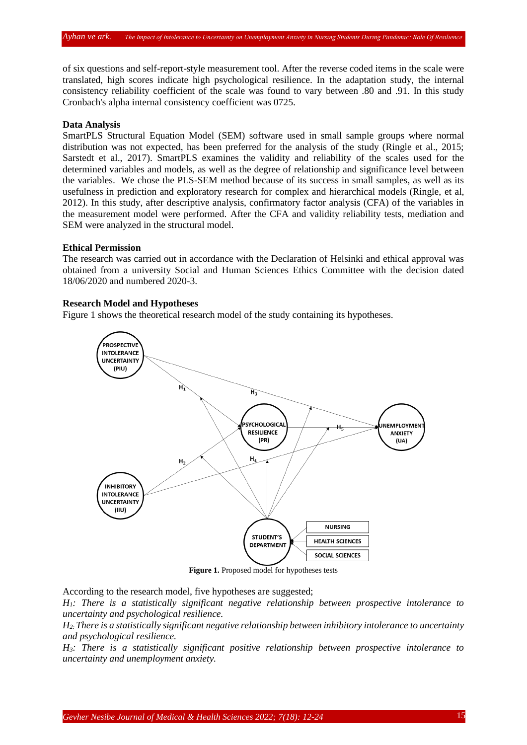of six questions and self-report-style measurement tool. After the reverse coded items in the scale were translated, high scores indicate high psychological resilience. In the adaptation study, the internal consistency reliability coefficient of the scale was found to vary between .80 and .91. In this study Cronbach's alpha internal consistency coefficient was 0725.

## **Data Analysis**

SmartPLS Structural Equation Model (SEM) software used in small sample groups where normal distribution was not expected, has been preferred for the analysis of the study (Ringle et al., 2015; Sarstedt et al., 2017). SmartPLS examines the validity and reliability of the scales used for the determined variables and models, as well as the degree of relationship and significance level between the variables. We chose the PLS-SEM method because of its success in small samples, as well as its usefulness in prediction and exploratory research for complex and hierarchical models (Ringle, et al, 2012). In this study, after descriptive analysis, confirmatory factor analysis (CFA) of the variables in the measurement model were performed. After the CFA and validity reliability tests, mediation and SEM were analyzed in the structural model.

# **Ethical Permission**

The research was carried out in accordance with the Declaration of Helsinki and ethical approval was obtained from a university Social and Human Sciences Ethics Committee with the decision dated 18/06/2020 and numbered 2020-3.

#### **Research Model and Hypotheses**

Figure 1 shows the theoretical research model of the study containing its hypotheses.



**Figure 1.** Proposed model for hypotheses tests

According to the research model, five hypotheses are suggested;

*H1: There is a statistically significant negative relationship between prospective intolerance to uncertainty and psychological resilience.* 

*H2: There is a statistically significant negative relationship between inhibitory intolerance to uncertainty and psychological resilience.*

*H3: There is a statistically significant positive relationship between prospective intolerance to uncertainty and unemployment anxiety.*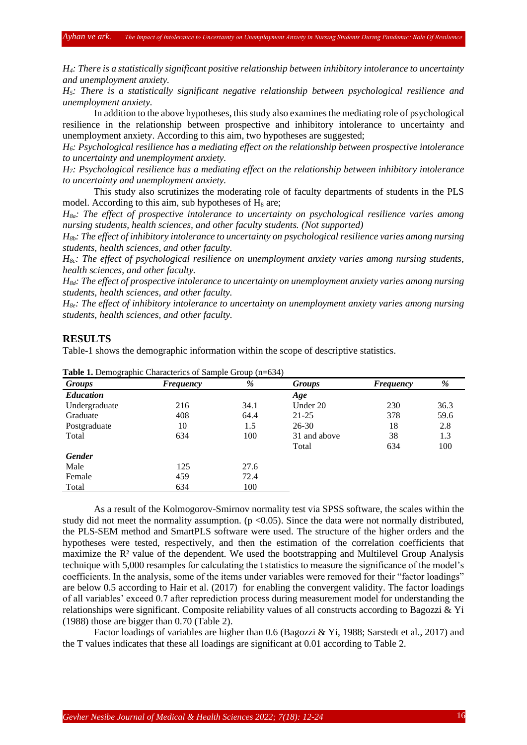*H4: There is a statistically significant positive relationship between inhibitory intolerance to uncertainty and unemployment anxiety.*

*H5: There is a statistically significant negative relationship between psychological resilience and unemployment anxiety.*

In addition to the above hypotheses, this study also examines the mediating role of psychological resilience in the relationship between prospective and inhibitory intolerance to uncertainty and unemployment anxiety. According to this aim, two hypotheses are suggested;

*H6: Psychological resilience has a mediating effect on the relationship between prospective intolerance to uncertainty and unemployment anxiety.*

*H7: Psychological resilience has a mediating effect on the relationship between inhibitory intolerance to uncertainty and unemployment anxiety.*

This study also scrutinizes the moderating role of faculty departments of students in the PLS model. According to this aim, sub hypotheses of  $H_8$  are;

*H8a: The effect of prospective intolerance to uncertainty on psychological resilience varies among nursing students, health sciences, and other faculty students. (Not supported)*

*H8b: The effect of inhibitory intolerance to uncertainty on psychological resilience varies among nursing students, health sciences, and other faculty.*

*H8c: The effect of psychological resilience on unemployment anxiety varies among nursing students, health sciences, and other faculty.*

*H8d: The effect of prospective intolerance to uncertainty on unemployment anxiety varies among nursing students, health sciences, and other faculty.*

*H8e: The effect of inhibitory intolerance to uncertainty on unemployment anxiety varies among nursing students, health sciences, and other faculty.*

## **RESULTS**

Table-1 shows the demographic information within the scope of descriptive statistics.

| Groups           | %<br>Frequency |      | <b>Groups</b> | <b>Frequency</b> | %    |
|------------------|----------------|------|---------------|------------------|------|
| <b>Education</b> |                |      | Age           |                  |      |
| Undergraduate    | 216            | 34.1 | Under 20      | 230              | 36.3 |
| Graduate         | 408            | 64.4 | $21 - 25$     | 378              | 59.6 |
| Postgraduate     | 10             | 1.5  | $26 - 30$     | 18               | 2.8  |
| Total            | 634            | 100  | 31 and above  | 38               | 1.3  |
|                  |                |      | Total         | 634              | 100  |
| <b>Gender</b>    |                |      |               |                  |      |
| Male             | 125            | 27.6 |               |                  |      |
| Female           | 459            | 72.4 |               |                  |      |
| Total            | 634            | 100  |               |                  |      |

**Table 1.** Demographic Characterics of Sample Group (n=634)

As a result of the Kolmogorov-Smirnov normality test via SPSS software, the scales within the study did not meet the normality assumption.  $(p < 0.05)$ . Since the data were not normally distributed, the PLS-SEM method and SmartPLS software were used. The structure of the higher orders and the hypotheses were tested, respectively, and then the estimation of the correlation coefficients that maximize the R² value of the dependent. We used the bootstrapping and Multilevel Group Analysis technique with 5,000 resamples for calculating the t statistics to measure the significance of the model's coefficients. In the analysis, some of the items under variables were removed for their "factor loadings" are below 0.5 according to Hair et al. (2017) for enabling the convergent validity. The factor loadings of all variables' exceed 0.7 after reprediction process during measurement model for understanding the relationships were significant. Composite reliability values of all constructs according to Bagozzi & Yi (1988) those are bigger than 0.70 (Table 2).

Factor loadings of variables are higher than 0.6 (Bagozzi & Yi, 1988; Sarstedt et al., 2017) and the T values indicates that these all loadings are significant at 0.01 according to Table 2.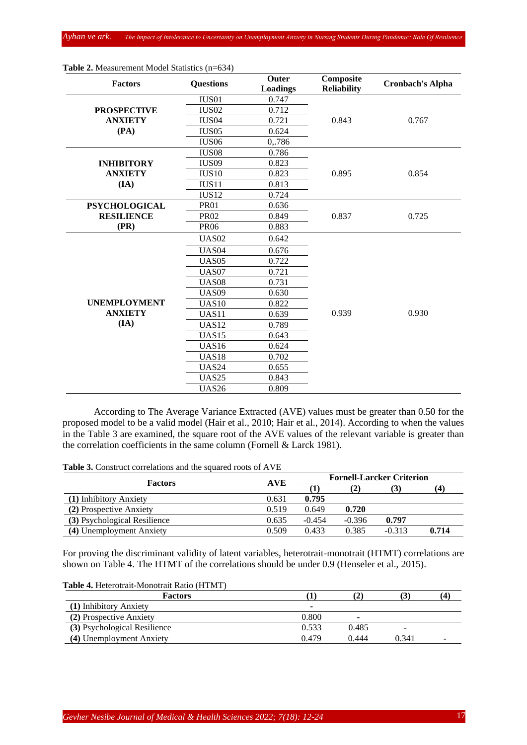| <b>Factors</b>       | <b>Questions</b>  | Outer<br><b>Loadings</b> | Composite<br><b>Reliability</b> | <b>Cronbach's Alpha</b> |  |  |
|----------------------|-------------------|--------------------------|---------------------------------|-------------------------|--|--|
|                      | IUS01             | 0.747                    |                                 |                         |  |  |
| <b>PROSPECTIVE</b>   | <b>IUS02</b>      | 0.712                    |                                 |                         |  |  |
| <b>ANXIETY</b>       | IUS <sub>04</sub> | 0.721                    | 0.843                           | 0.767                   |  |  |
| (PA)                 | <b>IUS05</b>      | 0.624                    |                                 |                         |  |  |
|                      | IUS <sub>06</sub> | 0,.786                   |                                 |                         |  |  |
|                      | <b>IUS08</b>      | 0.786                    |                                 |                         |  |  |
| <b>INHIBITORY</b>    | IUS <sub>09</sub> | 0.823                    |                                 |                         |  |  |
| <b>ANXIETY</b>       | <b>IUS10</b>      | 0.823                    | 0.895                           | 0.854                   |  |  |
| (IA)                 | IUS11             | 0.813                    |                                 |                         |  |  |
|                      | <b>IUS12</b>      | 0.724                    |                                 |                         |  |  |
| <b>PSYCHOLOGICAL</b> | <b>PR01</b>       | 0.636                    |                                 |                         |  |  |
| <b>RESILIENCE</b>    | <b>PR02</b>       | 0.849                    | 0.837                           | 0.725                   |  |  |
| (PR)                 | <b>PR06</b>       | 0.883                    |                                 |                         |  |  |
|                      | <b>UAS02</b>      | 0.642                    |                                 |                         |  |  |
|                      | <b>UAS04</b>      | 0.676                    |                                 |                         |  |  |
|                      | <b>UAS05</b>      | 0.722                    |                                 |                         |  |  |
|                      | <b>UAS07</b>      | 0.721                    |                                 |                         |  |  |
|                      | <b>UAS08</b>      | 0.731                    |                                 |                         |  |  |
|                      | <b>UAS09</b>      | 0.630                    |                                 |                         |  |  |
| <b>UNEMPLOYMENT</b>  | <b>UAS10</b>      | 0.822                    |                                 |                         |  |  |
| <b>ANXIETY</b>       | UAS11             | 0.639                    | 0.939                           | 0.930                   |  |  |
| (IA)                 | <b>UAS12</b>      | 0.789                    |                                 |                         |  |  |
|                      | UAS <sub>15</sub> | 0.643                    |                                 |                         |  |  |
|                      | <b>UAS16</b>      | 0.624                    |                                 |                         |  |  |
|                      | <b>UAS18</b>      | 0.702                    |                                 |                         |  |  |
|                      | <b>UAS24</b>      | 0.655                    |                                 |                         |  |  |
|                      | <b>UAS25</b>      | 0.843                    |                                 |                         |  |  |
|                      | <b>UAS26</b>      | 0.809                    |                                 |                         |  |  |

**Table 2.** Measurement Model Statistics (n=634)

According to The Average Variance Extracted (AVE) values must be greater than 0.50 for the proposed model to be a valid model (Hair et al., 2010; Hair et al., 2014). According to when the values in the Table 3 are examined, the square root of the AVE values of the relevant variable is greater than the correlation coefficients in the same column (Fornell & Larck 1981).

**Table 3.** Construct correlations and the squared roots of AVE

| <b>Factors</b>               | <b>AVE</b> | <b>Fornell-Larcker Criterion</b> |          |          |                   |  |  |
|------------------------------|------------|----------------------------------|----------|----------|-------------------|--|--|
|                              |            |                                  | (2)      | 5.1      | $\left( 4\right)$ |  |  |
| (1) Inhibitory Anxiety       | 0.631      | 0.795                            |          |          |                   |  |  |
| (2) Prospective Anxiety      | 0.519      | 0.649                            | 0.720    |          |                   |  |  |
| (3) Psychological Resilience | 0.635      | $-0.454$                         | $-0.396$ | 0.797    |                   |  |  |
| (4) Unemployment Anxiety     | 0.509      | 0.433                            | 0.385    | $-0.313$ | 0.714             |  |  |

For proving the discriminant validity of latent variables, heterotrait-monotrait (HTMT) correlations are shown on Table 4. The HTMT of the correlations should be under 0.9 (Henseler et al., 2015).

|  | Table 4. Heterotrait-Monotrait Ratio (HTMT) |  |  |
|--|---------------------------------------------|--|--|
|--|---------------------------------------------|--|--|

| <b>Factors</b>               |       |       | IJ.   | 14, |
|------------------------------|-------|-------|-------|-----|
| (1) Inhibitory Anxiety       | ٠     |       |       |     |
| (2) Prospective Anxiety      | 0.800 | -     |       |     |
| (3) Psychological Resilience | 0.533 | 0.485 | ۰     |     |
| (4) Unemployment Anxiety     | 0.479 | 0.444 | 0.341 |     |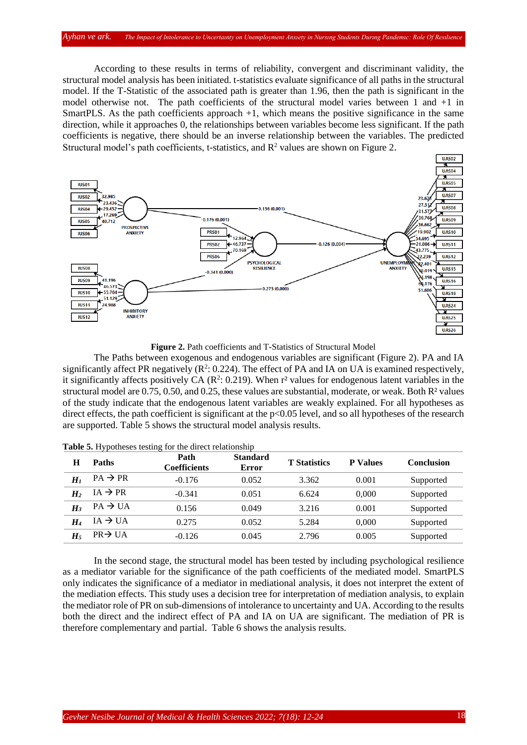#### *Ayhan ve ark. The Impact of Intolerance to Uncertaınty on Unemployment Anxıety in Nursıng Students Durıng Pandemıc: Role Of Resılıence*

According to these results in terms of reliability, convergent and discriminant validity, the structural model analysis has been initiated. t-statistics evaluate significance of all paths in the structural model. If the T-Statistic of the associated path is greater than 1.96, then the path is significant in the model otherwise not. The path coefficients of the structural model varies between  $1$  and  $+1$  in SmartPLS. As the path coefficients approach +1, which means the positive significance in the same direction, while it approaches 0, the relationships between variables become less significant. If the path coefficients is negative, there should be an inverse relationship between the variables. The predicted Structural model's path coefficients, t-statistics, and  $R^2$  values are shown on Figure 2.



**Figure 2.** Path coefficients and T-Statistics of Structural Model

The Paths between exogenous and endogenous variables are significant (Figure 2). PA and IA significantly affect PR negatively  $(R^2: 0.224)$ . The effect of PA and IA on UA is examined respectively, it significantly affects positively CA ( $\mathbb{R}^2$ : 0.219). When  $r^2$  values for endogenous latent variables in the structural model are  $0.75$ ,  $0.50$ , and  $0.25$ , these values are substantial, moderate, or weak. Both  $R<sup>2</sup>$  values of the study indicate that the endogenous latent variables are weakly explained. For all hypotheses as direct effects, the path coefficient is significant at the p<0.05 level, and so all hypotheses of the research are supported. Table 5 shows the structural model analysis results.

| Н              | <b>Paths</b>        | Path<br>Coefficients | <b>Standard</b><br>Error | <b>T</b> Statistics | <b>P</b> Values | Conclusion |
|----------------|---------------------|----------------------|--------------------------|---------------------|-----------------|------------|
| H <sub>1</sub> | $PA \rightarrow PR$ | $-0.176$             | 0.052                    | 3.362               | 0.001           | Supported  |
| H <sub>2</sub> | $IA \rightarrow PR$ | $-0.341$             | 0.051                    | 6.624               | 0.000           | Supported  |
| $H_3$          | $PA \rightarrow UA$ | 0.156                | 0.049                    | 3.216               | 0.001           | Supported  |
| H4             | $IA \rightarrow UA$ | 0.275                | 0.052                    | 5.284               | 0.000           | Supported  |
| $H_5$          | $PR \rightarrow UA$ | $-0.126$             | 0.045                    | 2.796               | 0.005           | Supported  |

**Table 5.** Hypotheses testing for the direct relationship

In the second stage, the structural model has been tested by including psychological resilience as a mediator variable for the significance of the path coefficients of the mediated model. SmartPLS only indicates the significance of a mediator in mediational analysis, it does not interpret the extent of the mediation effects. This study uses a decision tree for interpretation of mediation analysis, to explain the mediator role of PR on sub-dimensions of intolerance to uncertainty and UA. According to the results both the direct and the indirect effect of PA and IA on UA are significant. The mediation of PR is therefore complementary and partial. Table 6 shows the analysis results.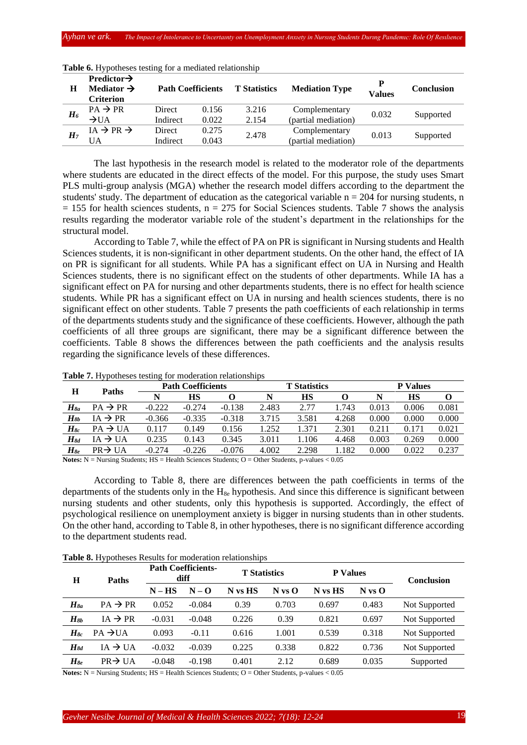| Н              | Predictor $\rightarrow$<br>Mediator $\rightarrow$<br><b>Criterion</b> | <b>Path Coefficients</b> |       | <b>T</b> Statistics | <b>Mediation Type</b> | <b>Values</b> | <b>Conclusion</b> |  |
|----------------|-----------------------------------------------------------------------|--------------------------|-------|---------------------|-----------------------|---------------|-------------------|--|
|                | $PA \rightarrow PR$                                                   | Direct                   | 0.156 | 3.216               | Complementary         | 0.032         |                   |  |
| $H_6$          | $\rightarrow$ UA                                                      | Indirect                 | 0.022 | 2.154               | (partial mediation)   |               | Supported         |  |
|                | $IA \rightarrow PR \rightarrow$                                       | Direct                   | 0.275 | 2.478               | Complementary         | 0.013         |                   |  |
| H <sub>7</sub> | UA                                                                    | Indirect                 | 0.043 |                     | (partial mediation)   |               | Supported         |  |

**Table 6.** Hypotheses testing for a mediated relationship

The last hypothesis in the research model is related to the moderator role of the departments where students are educated in the direct effects of the model. For this purpose, the study uses Smart PLS multi-group analysis (MGA) whether the research model differs according to the department the students' study. The department of education as the categorical variable  $n = 204$  for nursing students, n  $= 155$  for health sciences students, n = 275 for Social Sciences students. Table 7 shows the analysis results regarding the moderator variable role of the student's department in the relationships for the structural model.

According to Table 7, while the effect of PA on PR is significant in Nursing students and Health Sciences students, it is non-significant in other department students. On the other hand, the effect of IA on PR is significant for all students. While PA has a significant effect on UA in Nursing and Health Sciences students, there is no significant effect on the students of other departments. While IA has a significant effect on PA for nursing and other departments students, there is no effect for health science students. While PR has a significant effect on UA in nursing and health sciences students, there is no significant effect on other students. Table 7 presents the path coefficients of each relationship in terms of the departments students study and the significance of these coefficients. However, although the path coefficients of all three groups are significant, there may be a significant difference between the coefficients. Table 8 shows the differences between the path coefficients and the analysis results regarding the significance levels of these differences.

| Н           | <b>Paths</b>            |          | <b>Path Coefficients</b><br><b>T</b> Statistics |          |       |       |       | <b>P</b> Values |       |       |  |
|-------------|-------------------------|----------|-------------------------------------------------|----------|-------|-------|-------|-----------------|-------|-------|--|
|             |                         |          | НS                                              |          | N     | НS    |       |                 | HS    |       |  |
| $H_{8a}$    | $PA \rightarrow PR$     | $-0.222$ | $-0.274$                                        | $-0.138$ | 2.483 | 2.77  | 1.743 | 0.013           | 0.006 | 0.081 |  |
| $H_{8b}$    | $\rightarrow$ PR<br>ίA  | $-0.366$ | $-0.335$                                        | $-0.318$ | 3.715 | 3.581 | 4.268 | 0.000           | 0.000 | 0.000 |  |
| $H_{8c}$    | $PA \rightarrow UA$     | 0.117    | 0.149                                           | 0.156    | .252  | 1.371 | 2.301 | 0.211           | 0.171 | 0.021 |  |
| $\bm{H}$ 8d | $\rightarrow$ UA<br>ı A | 0.235    | 0.143                                           | 0.345    | 3.011 | 106   | 4.468 | 0.003           | 0.269 | 0.000 |  |
| $H_{8e}$    | $PR \rightarrow UA$     | $-0.274$ | $-0.226$                                        | $-0.076$ | 4.002 | 2.298 | 1.182 | 0.000           | 0.022 | 0.237 |  |

**Table 7.** Hypotheses testing for moderation relationships

Notes: N = Nursing Students; HS = Health Sciences Students; O = Other Students, p-values < 0.05

According to Table 8, there are differences between the path coefficients in terms of the departments of the students only in the  $H_{8e}$  hypothesis. And since this difference is significant between nursing students and other students, only this hypothesis is supported. Accordingly, the effect of psychological resilience on unemployment anxiety is bigger in nursing students than in other students. On the other hand, according to Table 8, in other hypotheses, there is no significant difference according to the department students read.

| Н        | Paths                                                                                                                             |          | <b>Path Coefficients-</b><br>diff | <b>T</b> Statistics |            | <b>P</b> Values |            | <b>Conclusion</b> |
|----------|-----------------------------------------------------------------------------------------------------------------------------------|----------|-----------------------------------|---------------------|------------|-----------------|------------|-------------------|
|          |                                                                                                                                   | $N - HS$ | $N - Q$                           | N vs HS             | $N$ vs $O$ | N vs HS         | $N$ vs $O$ |                   |
| $H_{8a}$ | $PA \rightarrow PR$                                                                                                               | 0.052    | $-0.084$                          | 0.39                | 0.703      | 0.697           | 0.483      | Not Supported     |
| $H_{8b}$ | $IA \rightarrow PR$                                                                                                               | $-0.031$ | $-0.048$                          | 0.226               | 0.39       | 0.821           | 0.697      | Not Supported     |
| $H_{8c}$ | $PA \rightarrow UA$                                                                                                               | 0.093    | $-0.11$                           | 0.616               | 1.001      | 0.539           | 0.318      | Not Supported     |
| $H_{8d}$ | $IA \rightarrow UA$                                                                                                               | $-0.032$ | $-0.039$                          | 0.225               | 0.338      | 0.822           | 0.736      | Not Supported     |
| $H_{8e}$ | $PR \rightarrow IJA$                                                                                                              | $-0.048$ | $-0.198$                          | 0.401               | 2.12       | 0.689           | 0.035      | Supported         |
|          | Notes $N = N$ uging Ctudente: $\text{HC} = \text{Hachk}$ Coloneae Ctudente: $\Omega = \Omega$ then Ctudente in volume $\geq 0.05$ |          |                                   |                     |            |                 |            |                   |

**Table 8.** Hypotheses Results for moderation relationships

**Notes:** N = Nursing Students; HS = Health Sciences Students; O = Other Students, p-values < 0.05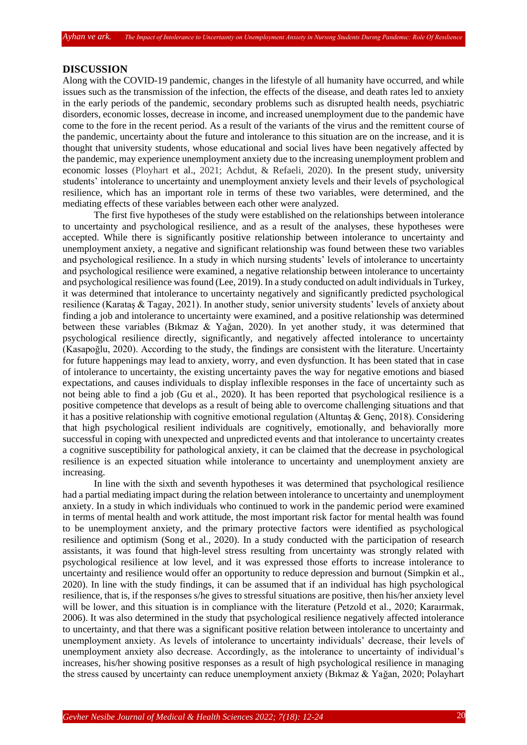#### **DISCUSSION**

Along with the COVID-19 pandemic, changes in the lifestyle of all humanity have occurred, and while issues such as the transmission of the infection, the effects of the disease, and death rates led to anxiety in the early periods of the pandemic, secondary problems such as disrupted health needs, psychiatric disorders, economic losses, decrease in income, and increased unemployment due to the pandemic have come to the fore in the recent period. As a result of the variants of the virus and the remittent course of the pandemic, uncertainty about the future and intolerance to this situation are on the increase, and it is thought that university students, whose educational and social lives have been negatively affected by the pandemic, may experience unemployment anxiety due to the increasing unemployment problem and economic losses (Ployhart et al., 2021; Achdut, & Refaeli, 2020). In the present study, university students' intolerance to uncertainty and unemployment anxiety levels and their levels of psychological resilience, which has an important role in terms of these two variables, were determined, and the mediating effects of these variables between each other were analyzed.

The first five hypotheses of the study were established on the relationships between intolerance to uncertainty and psychological resilience, and as a result of the analyses, these hypotheses were accepted. While there is significantly positive relationship between intolerance to uncertainty and unemployment anxiety, a negative and significant relationship was found between these two variables and psychological resilience. In a study in which nursing students' levels of intolerance to uncertainty and psychological resilience were examined, a negative relationship between intolerance to uncertainty and psychological resilience was found (Lee, 2019). In a study conducted on adult individuals in Turkey, it was determined that intolerance to uncertainty negatively and significantly predicted psychological resilience (Karataş & Tagay, 2021). In another study, senior university students' levels of anxiety about finding a job and intolerance to uncertainty were examined, and a positive relationship was determined between these variables (Bıkmaz & Yağan, 2020). In yet another study, it was determined that psychological resilience directly, significantly, and negatively affected intolerance to uncertainty (Kasapoğlu, 2020). According to the study, the findings are consistent with the literature. Uncertainty for future happenings may lead to anxiety, worry, and even dysfunction. It has been stated that in case of intolerance to uncertainty, the existing uncertainty paves the way for negative emotions and biased expectations, and causes individuals to display inflexible responses in the face of uncertainty such as not being able to find a job (Gu et al., 2020). It has been reported that psychological resilience is a positive competence that develops as a result of being able to overcome challenging situations and that it has a positive relationship with cognitive emotional regulation (Altuntas & Genc, 2018). Considering that high psychological resilient individuals are cognitively, emotionally, and behaviorally more successful in coping with unexpected and unpredicted events and that intolerance to uncertainty creates a cognitive susceptibility for pathological anxiety, it can be claimed that the decrease in psychological resilience is an expected situation while intolerance to uncertainty and unemployment anxiety are increasing.

In line with the sixth and seventh hypotheses it was determined that psychological resilience had a partial mediating impact during the relation between intolerance to uncertainty and unemployment anxiety. In a study in which individuals who continued to work in the pandemic period were examined in terms of mental health and work attitude, the most important risk factor for mental health was found to be unemployment anxiety, and the primary protective factors were identified as psychological resilience and optimism (Song et al., 2020). In a study conducted with the participation of research assistants, it was found that high-level stress resulting from uncertainty was strongly related with psychological resilience at low level, and it was expressed those efforts to increase intolerance to uncertainty and resilience would offer an opportunity to reduce depression and burnout (Simpkin et al., 2020). In line with the study findings, it can be assumed that if an individual has high psychological resilience, that is, if the responses s/he gives to stressful situations are positive, then his/her anxiety level will be lower, and this situation is in compliance with the literature (Petzold et al., 2020; Karaırmak, 2006). It was also determined in the study that psychological resilience negatively affected intolerance to uncertainty, and that there was a significant positive relation between intolerance to uncertainty and unemployment anxiety. As levels of intolerance to uncertainty individuals' decrease, their levels of unemployment anxiety also decrease. Accordingly, as the intolerance to uncertainty of individual's increases, his/her showing positive responses as a result of high psychological resilience in managing the stress caused by uncertainty can reduce unemployment anxiety (Bıkmaz & Yağan, 2020; Polayhart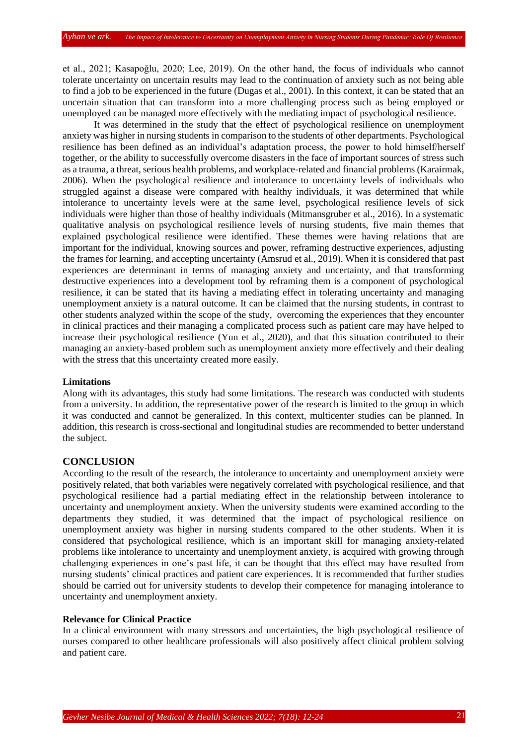et al., 2021; Kasapoğlu, 2020; Lee, 2019). On the other hand, the focus of individuals who cannot tolerate uncertainty on uncertain results may lead to the continuation of anxiety such as not being able to find a job to be experienced in the future (Dugas et al., 2001). In this context, it can be stated that an uncertain situation that can transform into a more challenging process such as being employed or unemployed can be managed more effectively with the mediating impact of psychological resilience.

It was determined in the study that the effect of psychological resilience on unemployment anxiety was higher in nursing students in comparison to the students of other departments. Psychological resilience has been defined as an individual's adaptation process, the power to hold himself/herself together, or the ability to successfully overcome disasters in the face of important sources of stress such as a trauma, a threat, serious health problems, and workplace-related and financial problems (Karairmak, 2006). When the psychological resilience and intolerance to uncertainty levels of individuals who struggled against a disease were compared with healthy individuals, it was determined that while intolerance to uncertainty levels were at the same level, psychological resilience levels of sick individuals were higher than those of healthy individuals (Mitmansgruber et al., 2016). In a systematic qualitative analysis on psychological resilience levels of nursing students, five main themes that explained psychological resilience were identified. These themes were having relations that are important for the individual, knowing sources and power, reframing destructive experiences, adjusting the frames for learning, and accepting uncertainty (Amsrud et al., 2019). When it is considered that past experiences are determinant in terms of managing anxiety and uncertainty, and that transforming destructive experiences into a development tool by reframing them is a component of psychological resilience, it can be stated that its having a mediating effect in tolerating uncertainty and managing unemployment anxiety is a natural outcome. It can be claimed that the nursing students, in contrast to other students analyzed within the scope of the study, overcoming the experiences that they encounter in clinical practices and their managing a complicated process such as patient care may have helped to increase their psychological resilience (Yun et al., 2020), and that this situation contributed to their managing an anxiety-based problem such as unemployment anxiety more effectively and their dealing with the stress that this uncertainty created more easily.

#### **Limitations**

Along with its advantages, this study had some limitations. The research was conducted with students from a university. In addition, the representative power of the research is limited to the group in which it was conducted and cannot be generalized. In this context, multicenter studies can be planned. In addition, this research is cross-sectional and longitudinal studies are recommended to better understand the subject.

# **CONCLUSION**

According to the result of the research, the intolerance to uncertainty and unemployment anxiety were positively related, that both variables were negatively correlated with psychological resilience, and that psychological resilience had a partial mediating effect in the relationship between intolerance to uncertainty and unemployment anxiety. When the university students were examined according to the departments they studied, it was determined that the impact of psychological resilience on unemployment anxiety was higher in nursing students compared to the other students. When it is considered that psychological resilience, which is an important skill for managing anxiety-related problems like intolerance to uncertainty and unemployment anxiety, is acquired with growing through challenging experiences in one's past life, it can be thought that this effect may have resulted from nursing students' clinical practices and patient care experiences. It is recommended that further studies should be carried out for university students to develop their competence for managing intolerance to uncertainty and unemployment anxiety.

# **Relevance for Clinical Practice**

In a clinical environment with many stressors and uncertainties, the high psychological resilience of nurses compared to other healthcare professionals will also positively affect clinical problem solving and patient care.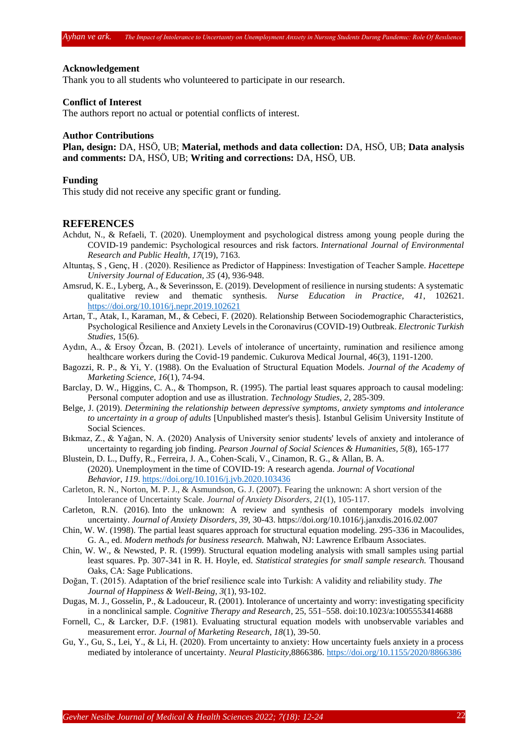#### **Acknowledgement**

Thank you to all students who volunteered to participate in our research.

## **Conflict of Interest**

The authors report no actual or potential conflicts of interest.

### **Author Contributions**

**Plan, design:** DA, HSÖ, UB; **Material, methods and data collection:** DA, HSÖ, UB; **Data analysis and comments:** DA, HSÖ, UB; **Writing and corrections:** DA, HSÖ, UB.

#### **Funding**

This study did not receive any specific grant or funding.

#### **REFERENCES**

- Achdut, N., & Refaeli, T. (2020). Unemployment and psychological distress among young people during the COVID-19 pandemic: Psychological resources and risk factors. *International Journal of Environmental Research and Public Health, 17*(19), 7163.
- Altuntaş, S , Genç, H . (2020). Resilience as Predictor of Happiness: Investigation of Teacher Sample. *Hacettepe University Journal of Education, 35* (4), 936-948.
- Amsrud, K. E., Lyberg, A., & Severinsson, E. (2019). Development of resilience in nursing students: A systematic qualitative review and thematic synthesis. *Nurse Education in Practice, 41*, 102621. <https://doi.org/10.1016/j.nepr.2019.102621>
- Artan, T., Atak, I., Karaman, M., & Cebeci, F. (2020). Relationship Between Sociodemographic Characteristics, Psychological Resilience and Anxiety Levels in the Coronavirus (COVID-19) Outbreak. *Electronic Turkish Studies,* 15(6).
- Aydın, A., & Ersoy Özcan, B. (2021). Levels of intolerance of uncertainty, rumination and resilience among healthcare workers during the Covid-19 pandemic. Cukurova Medical Journal, 46(3), 1191-1200.
- Bagozzi, R. P., & Yi, Y. (1988). On the Evaluation of Structural Equation Models. *Journal of the Academy of Marketing Science, 16*(1), 74-94.
- Barclay, D. W., Higgins, C. A., & Thompson, R. (1995). The partial least squares approach to causal modeling: Personal computer adoption and use as illustration. *Technology Studies, 2*, 285-309.
- Belge, J. (2019). *Determining the relationship between depressive symptoms, anxiety symptoms and intolerance to uncertainty in a group of adults* [Unpublished master's thesis]. Istanbul Gelisim University Institute of Social Sciences.
- Bıkmaz, Z., & Yağan, N. A. (2020) Analysis of University senior students' levels of anxiety and intolerance of uncertainty to regarding job finding. *Pearson Journal of Social Sciences & Humanities, 5*(8), 165-177
- Blustein, D. L., Duffy, R., Ferreira, J. A., Cohen-Scali, V., Cinamon, R. G., & Allan, B. A. (2020). Unemployment in the time of COVID-19: A research agenda. *Journal of Vocational Behavior*, *119*. <https://doi.org/10.1016/j.jvb.2020.103436>
- Carleton, R. N., Norton, M. P. J., & Asmundson, G. J. (2007). Fearing the unknown: A short version of the Intolerance of Uncertainty Scale. *Journal of Anxiety Disorders*, *21*(1), 105-117.
- Carleton, R.N. (2016). Into the unknown: A review and synthesis of contemporary models involving uncertainty. *Journal of Anxiety Disorders, 39,* 30-43. https://doi.org/10.1016/j.janxdis.2016.02.007
- Chin, W. W. (1998). The partial least squares approach for structural equation modeling. 295-336 in Macoulides, G. A., ed. *Modern methods for business research.* Mahwah, NJ: Lawrence Erlbaum Associates.
- Chin, W. W., & Newsted, P. R. (1999). Structural equation modeling analysis with small samples using partial least squares. Pp. 307-341 in R. H. Hoyle, ed. *Statistical strategies for small sample research.* Thousand Oaks, CA: Sage Publications.
- Doğan, T. (2015). Adaptation of the brief resilience scale into Turkish: A validity and reliability study. *The Journal of Happiness & Well-Being, 3*(1), 93-102.
- Dugas, M. J., Gosselin, P., & Ladouceur, R. (2001). Intolerance of uncertainty and worry: investigating specificity in a nonclinical sample. *Cognitive Therapy and Research*, 25, 551–558. doi:10.1023/a:1005553414688
- Fornell, C., & Larcker, D.F. (1981). Evaluating structural equation models with unobservable variables and measurement error. *Journal of Marketing Research, 18*(1), 39-50.
- Gu, Y., Gu, S., Lei, Y., & Li, H. (2020). From uncertainty to anxiety: How uncertainty fuels anxiety in a process mediated by intolerance of uncertainty. *Neural Plasticity*,8866386.<https://doi.org/10.1155/2020/8866386>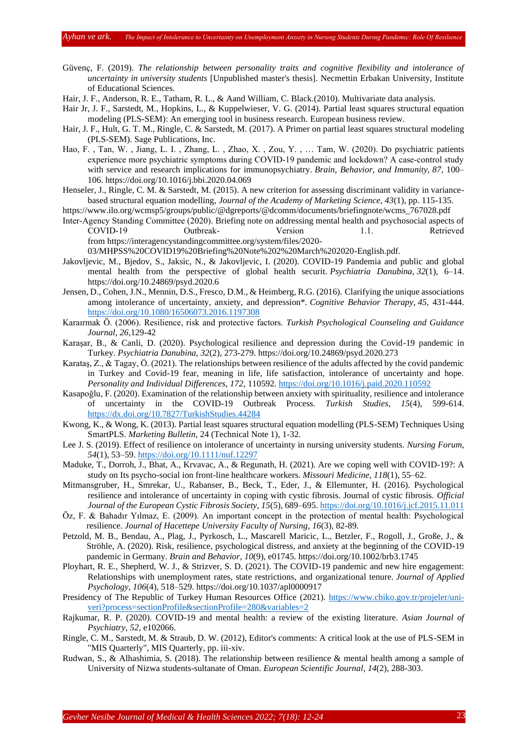Güvenç, F. (2019). *The relationship between personality traits and cognitive flexibility and intolerance of uncertainty in university students* [Unpublished master's thesis]. Necmettin Erbakan University, Institute of Educational Sciences.

Hair, J. F., Anderson, R. E., Tatham, R. L., & Aand William, C. Black.(2010). Multivariate data analysis.

- Hair Jr, J. F., Sarstedt, M., Hopkins, L., & Kuppelwieser, V. G. (2014). Partial least squares structural equation modeling (PLS-SEM): An emerging tool in business research. European business review.
- Hair, J. F., Hult, G. T. M., Ringle, C. & Sarstedt, M. (2017). A Primer on partial least squares structural modeling (PLS-SEM). Sage Publications, Inc.
- Hao, F. , Tan, W. , Jiang, L. I. , Zhang, L. , Zhao, X. , Zou, Y. , … Tam, W. (2020). Do psychiatric patients experience more psychiatric symptoms during COVID-19 pandemic and lockdown? A case-control study with service and research implications for immunopsychiatry. *Brain, Behavior, and Immunity, 87,* 100– 106. https://doi.org/10.1016/j.bbi.2020.04.069
- Henseler, J., Ringle, C. M. & Sarstedt, M. (2015). A new criterion for assessing discriminant validity in variancebased structural equation modelling, *Journal of the Academy of Marketing Science, 43*(1), pp. 115-135.

[https://www.ilo.org/wcmsp5/groups/public/@dgreports/@dcomm/documents/briefingnote/wcms\\_767028.pdf](https://www.ilo.org/wcmsp5/groups/public/@dgreports/@dcomm/documents/briefingnote/wcms_767028.pdf)

Inter‐Agency Standing Committee (2020). Briefing note on addressing mental health and psychosocial aspects of COVID‐19 Outbreak‐ Version 1.1. Retrieved from [https://interagencystandingcommittee.org/system/files/2020-](https://interagencystandingcommittee.org/system/files/2020-03/MHPSS%20COVID19%20Briefing%20Note%202%20March%202020-English.pdf)

[03/MHPSS%20COVID19%20Briefing%20Note%202%20March%202020-English.pdf.](https://interagencystandingcommittee.org/system/files/2020-03/MHPSS%20COVID19%20Briefing%20Note%202%20March%202020-English.pdf)

- Jakovljevic, M., Bjedov, S., Jaksic, N., & Jakovljevic, I. (2020). COVID-19 Pandemia and public and global mental health from the perspective of global health securit. *Psychiatria Danubina, 32*(1), 6–14. https://doi.org/10.24869/psyd.2020.6
- Jensen, D., Cohen, J.N., Mennin, D.S., Fresco, D.M., & Heimberg, R.G. (2016). Clarifying the unique associations among intolerance of uncertainty, anxiety, and depression\*. *Cognitive Behavior Therapy*, *45,* 431-444. <https://doi.org/10.1080/16506073.2016.1197308>
- Karaırmak Ö. (2006). Resilience, risk and protective factors. *Turkish Psychological Counseling and Guidance Journal*, *26,*129-42
- Karaşar, B., & Canli, D. (2020). Psychological resilience and depression during the Covid-19 pandemic in Turkey. *Psychiatria Danubina, 32*(2), 273-279[. https://doi.org/10.24869/psyd.2020.273](https://doi.org/10.24869/psyd.2020.273)
- Karataş, Z., & Tagay, Ö. (2021). The relationships between resilience of the adults affected by the covid pandemic in Turkey and Covid-19 fear, meaning in life, life satisfaction, intolerance of uncertainty and hope. *Personality and Individual Differences*, *172,* 110592.<https://doi.org/10.1016/j.paid.2020.110592>
- Kasapoğlu, F. (2020). Examination of the relationship between anxiety with spirituality, resilience and intolerance of uncertainty in the COVID-19 Outbreak Process. *Turkish Studies, 15*(4), 599-614. <https://dx.doi.org/10.7827/TurkishStudies.44284>
- Kwong, K., & Wong, K. (2013). Partial least squares structural equation modelling (PLS-SEM) Techniques Using SmartPLS. *Marketing Bulletin*, 24 (Technical Note 1), 1-32.
- Lee J. S. (2019). Effect of resilience on intolerance of uncertainty in nursing university students. *Nursing Forum*, *54*(1), 53–59.<https://doi.org/10.1111/nuf.12297>
- Maduke, T., Dorroh, J., Bhat, A., Krvavac, A., & Regunath, H. (2021). Are we coping well with COVID-19?: A study on Its psycho-social ion front-line healthcare workers. *Missouri Medicine, 118*(1), 55–62.
- Mitmansgruber, H., Smrekar, U., Rabanser, B., Beck, T., Eder, J., & Ellemunter, H. (2016). Psychological resilience and intolerance of uncertainty in coping with cystic fibrosis. Journal of cystic fibrosis. *Official Journal of the European Cystic Fibrosis Society, 15*(5), 689–695[. https://doi.org/10.1016/j.jcf.2015.11.011](https://doi.org/10.1016/j.jcf.2015.11.011)
- Öz, F. & Bahadır Yılmaz, E. (2009). An important concept in the protection of mental health: Psychological resilience. *Journal of Hacettepe University Faculty of Nursing*, *16*(3), 82-89.
- Petzold, M. B., Bendau, A., Plag, J., Pyrkosch, L., Mascarell Maricic, L., Betzler, F., Rogoll, J., Große, J., & Ströhle, A. (2020). Risk, resilience, psychological distress, and anxiety at the beginning of the COVID-19 pandemic in Germany. *Brain and Behavior, 10*(9), e01745.<https://doi.org/10.1002/brb3.1745>
- Ployhart, R. E., Shepherd, W. J., & Strizver, S. D. (2021). The COVID-19 pandemic and new hire engagement: Relationships with unemployment rates, state restrictions, and organizational tenure. *Journal of Applied Psychology, 106*(4), 518–529. [https://doi.org/10.1037/apl0000917](https://psycnet.apa.org/doi/10.1037/apl0000917)
- Presidency of The Republic of Turkey Human Resources Office (2021). [https://www.cbiko.gov.tr/projeler/uni](https://www.cbiko.gov.tr/projeler/uni-veri?process=sectionProfile§ionProfile=280&variables=2)[veri?process=sectionProfile&sectionProfile=280&variables=2](https://www.cbiko.gov.tr/projeler/uni-veri?process=sectionProfile§ionProfile=280&variables=2)
- Rajkumar, R. P. (2020). COVID-19 and mental health: a review of the existing literature. *Asian Journal of Psychiatry, 52*, e102066.
- Ringle, C. M., Sarstedt, M. & Straub, D. W. (2012), Editor's comments: A critical look at the use of PLS-SEM in "MIS Quarterly", MIS Quarterly, pp. iii-xiv.
- Rudwan, S., & Alhashimia, S. (2018). The relationship between resilience & mental health among a sample of University of Nizwa students-sultanate of Oman. *European Scientific Journal*, *14*(2), 288-303.